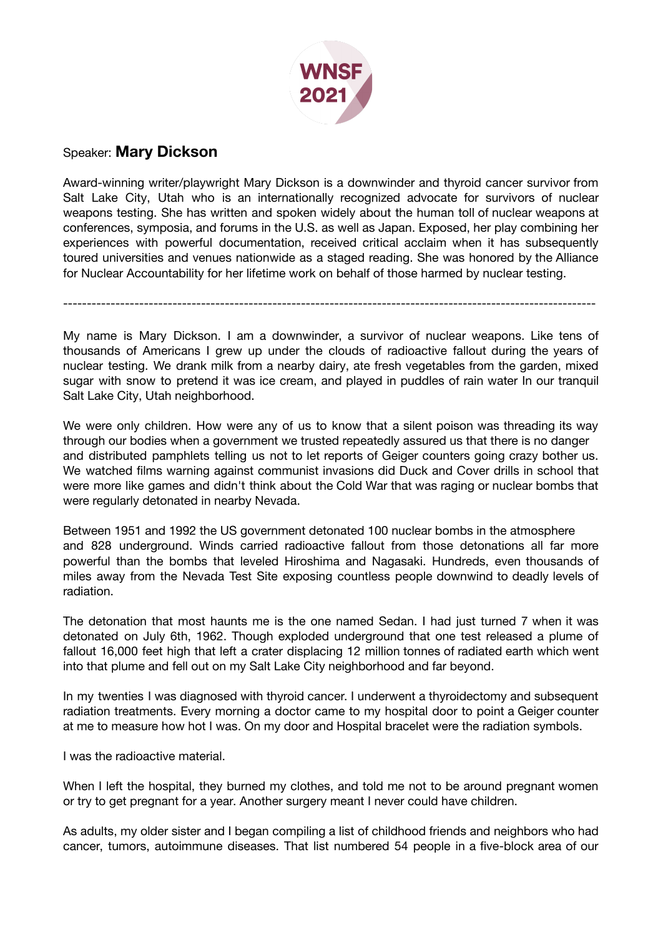

## Speaker: **Mary Dickson**

Award-winning writer/playwright Mary Dickson is a downwinder and thyroid cancer survivor from Salt Lake City, Utah who is an internationally recognized advocate for survivors of nuclear weapons testing. She has written and spoken widely about the human toll of nuclear weapons at conferences, symposia, and forums in the U.S. as well as Japan. Exposed, her play combining her experiences with powerful documentation, received critical acclaim when it has subsequently toured universities and venues nationwide as a staged reading. She was honored by the Alliance for Nuclear Accountability for her lifetime work on behalf of those harmed by nuclear testing.

My name is Mary Dickson. I am a downwinder, a survivor of nuclear weapons. Like tens of thousands of Americans I grew up under the clouds of radioactive fallout during the years of nuclear testing. We drank milk from a nearby dairy, ate fresh vegetables from the garden, mixed sugar with snow to pretend it was ice cream, and played in puddles of rain water In our tranquil Salt Lake City, Utah neighborhood.

----------------------------------------------------------------------------------------------------------------

We were only children. How were any of us to know that a silent poison was threading its way through our bodies when a government we trusted repeatedly assured us that there is no danger and distributed pamphlets telling us not to let reports of Geiger counters going crazy bother us. We watched films warning against communist invasions did Duck and Cover drills in school that were more like games and didn't think about the Cold War that was raging or nuclear bombs that were regularly detonated in nearby Nevada.

Between 1951 and 1992 the US government detonated 100 nuclear bombs in the atmosphere and 828 underground. Winds carried radioactive fallout from those detonations all far more powerful than the bombs that leveled Hiroshima and Nagasaki. Hundreds, even thousands of miles away from the Nevada Test Site exposing countless people downwind to deadly levels of radiation.

The detonation that most haunts me is the one named Sedan. I had just turned 7 when it was detonated on July 6th, 1962. Though exploded underground that one test released a plume of fallout 16,000 feet high that left a crater displacing 12 million tonnes of radiated earth which went into that plume and fell out on my Salt Lake City neighborhood and far beyond.

In my twenties I was diagnosed with thyroid cancer. I underwent a thyroidectomy and subsequent radiation treatments. Every morning a doctor came to my hospital door to point a Geiger counter at me to measure how hot I was. On my door and Hospital bracelet were the radiation symbols.

I was the radioactive material.

When I left the hospital, they burned my clothes, and told me not to be around pregnant women or try to get pregnant for a year. Another surgery meant I never could have children.

As adults, my older sister and I began compiling a list of childhood friends and neighbors who had cancer, tumors, autoimmune diseases. That list numbered 54 people in a five-block area of our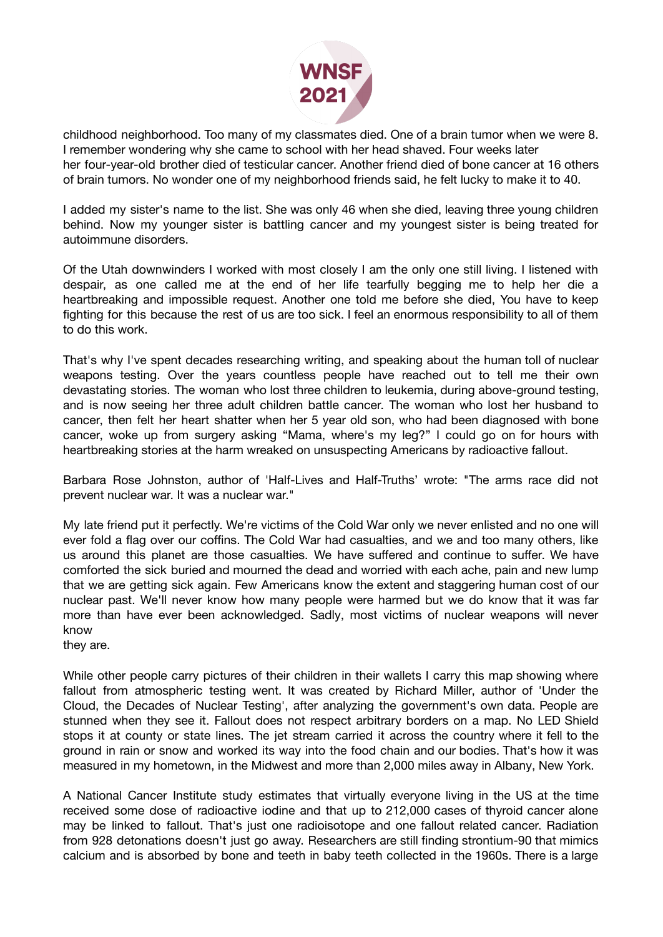

childhood neighborhood. Too many of my classmates died. One of a brain tumor when we were 8. I remember wondering why she came to school with her head shaved. Four weeks later her four-year-old brother died of testicular cancer. Another friend died of bone cancer at 16 others of brain tumors. No wonder one of my neighborhood friends said, he felt lucky to make it to 40.

I added my sister's name to the list. She was only 46 when she died, leaving three young children behind. Now my younger sister is battling cancer and my youngest sister is being treated for autoimmune disorders.

Of the Utah downwinders I worked with most closely I am the only one still living. I listened with despair, as one called me at the end of her life tearfully begging me to help her die a heartbreaking and impossible request. Another one told me before she died, You have to keep fighting for this because the rest of us are too sick. I feel an enormous responsibility to all of them to do this work.

That's why I've spent decades researching writing, and speaking about the human toll of nuclear weapons testing. Over the years countless people have reached out to tell me their own devastating stories. The woman who lost three children to leukemia, during above-ground testing, and is now seeing her three adult children battle cancer. The woman who lost her husband to cancer, then felt her heart shatter when her 5 year old son, who had been diagnosed with bone cancer, woke up from surgery asking "Mama, where's my leg?" I could go on for hours with heartbreaking stories at the harm wreaked on unsuspecting Americans by radioactive fallout.

Barbara Rose Johnston, author of 'Half-Lives and Half-Truths' wrote: "The arms race did not prevent nuclear war. It was a nuclear war."

My late friend put it perfectly. We're victims of the Cold War only we never enlisted and no one will ever fold a flag over our coffins. The Cold War had casualties, and we and too many others, like us around this planet are those casualties. We have suffered and continue to suffer. We have comforted the sick buried and mourned the dead and worried with each ache, pain and new lump that we are getting sick again. Few Americans know the extent and staggering human cost of our nuclear past. We'll never know how many people were harmed but we do know that it was far more than have ever been acknowledged. Sadly, most victims of nuclear weapons will never know

they are.

While other people carry pictures of their children in their wallets I carry this map showing where fallout from atmospheric testing went. It was created by Richard Miller, author of 'Under the Cloud, the Decades of Nuclear Testing', after analyzing the government's own data. People are stunned when they see it. Fallout does not respect arbitrary borders on a map. No LED Shield stops it at county or state lines. The jet stream carried it across the country where it fell to the ground in rain or snow and worked its way into the food chain and our bodies. That's how it was measured in my hometown, in the Midwest and more than 2,000 miles away in Albany, New York.

A National Cancer Institute study estimates that virtually everyone living in the US at the time received some dose of radioactive iodine and that up to 212,000 cases of thyroid cancer alone may be linked to fallout. That's just one radioisotope and one fallout related cancer. Radiation from 928 detonations doesn't just go away. Researchers are still finding strontium-90 that mimics calcium and is absorbed by bone and teeth in baby teeth collected in the 1960s. There is a large